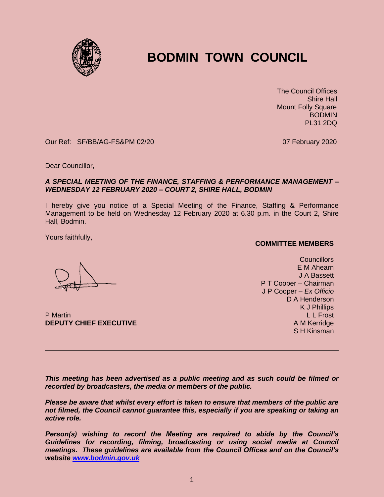

## **BODMIN TOWN COUNCIL**

 The Council Offices Shire Hall Mount Folly Square **BODMIN** PL31 2DQ

Our Ref: SF/BB/AG-FS&PM 02/20 07 February 2020

Dear Councillor,

## *A SPECIAL MEETING OF THE FINANCE, STAFFING & PERFORMANCE MANAGEMENT – WEDNESDAY 12 FEBRUARY 2020 – COURT 2, SHIRE HALL, BODMIN*

I hereby give you notice of a Special Meeting of the Finance, Staffing & Performance Management to be held on Wednesday 12 February 2020 at 6.30 p.m. in the Court 2, Shire Hall, Bodmin.

Yours faithfully,

**COMMITTEE MEMBERS**

**Councillors** E M Ahearn J A Bassett P T Cooper – Chairman J P Cooper – *Ex Officio* D A Henderson K J Phillips L L Frost A M Kerridge S H Kinsman

P Martin **DEPUTY CHIEF EXECUTIVE**

*This meeting has been advertised as a public meeting and as such could be filmed or recorded by broadcasters, the media or members of the public.*

*Please be aware that whilst every effort is taken to ensure that members of the public are not filmed, the Council cannot guarantee this, especially if you are speaking or taking an active role.*

*Person(s) wishing to record the Meeting are required to abide by the Council's Guidelines for recording, filming, broadcasting or using social media at Council meetings. These guidelines are available from the Council Offices and on the Council's website [www.bodmin.gov.uk](http://www.bodmin.gov.uk/)*